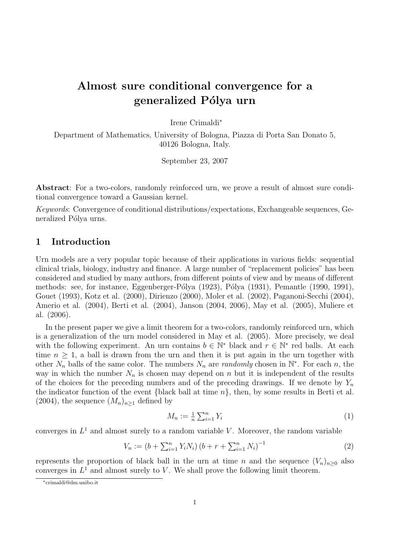# Almost sure conditional convergence for a generalized Pólya urn

Irene Crimaldi<sup>∗</sup>

Department of Mathematics, University of Bologna, Piazza di Porta San Donato 5, 40126 Bologna, Italy.

September 23, 2007

Abstract: For a two-colors, randomly reinforced urn, we prove a result of almost sure conditional convergence toward a Gaussian kernel.

Keywords: Convergence of conditional distributions/expectations, Exchangeable sequences, Generalized Pólya urns.

# 1 Introduction

Urn models are a very popular topic because of their applications in various fields: sequential clinical trials, biology, industry and finance. A large number of "replacement policies" has been considered and studied by many authors, from different points of view and by means of different methods: see, for instance, Eggenberger-Pólya  $(1923)$ , Pólya  $(1931)$ , Pemantle  $(1990, 1991)$ , Gouet (1993), Kotz et al. (2000), Dirienzo (2000), Moler et al. (2002), Paganoni-Secchi (2004), Amerio et al. (2004), Berti et al. (2004), Janson (2004, 2006), May et al. (2005), Muliere et al. (2006).

In the present paper we give a limit theorem for a two-colors, randomly reinforced urn, which is a generalization of the urn model considered in May et al. (2005). More precisely, we deal with the following experiment. An urn contains  $b \in \mathbb{N}^*$  black and  $r \in \mathbb{N}^*$  red balls. At each time  $n \geq 1$ , a ball is drawn from the urn and then it is put again in the urn together with other  $N_n$  balls of the same color. The numbers  $N_n$  are *randomly* chosen in  $\mathbb{N}^*$ . For each n, the way in which the number  $N_n$  is chosen may depend on n but it is independent of the results of the choices for the preceding numbers and of the preceding drawings. If we denote by  $Y_n$ the indicator function of the event {black ball at time  $n$ }, then, by some results in Berti et al. (2004), the sequence  $(M_n)_{n>1}$  defined by

$$
M_n := \frac{1}{n} \sum_{i=1}^n Y_i \tag{1}
$$

converges in  $L^1$  and almost surely to a random variable V. Moreover, the random variable

$$
V_n := (b + \sum_{i=1}^n Y_i N_i) (b + r + \sum_{i=1}^n N_i)^{-1}
$$
 (2)

represents the proportion of black ball in the urn at time n and the sequence  $(V_n)_{n>0}$  also converges in  $L^1$  and almost surely to V. We shall prove the following limit theorem.

<sup>∗</sup>crimaldi@dm.unibo.it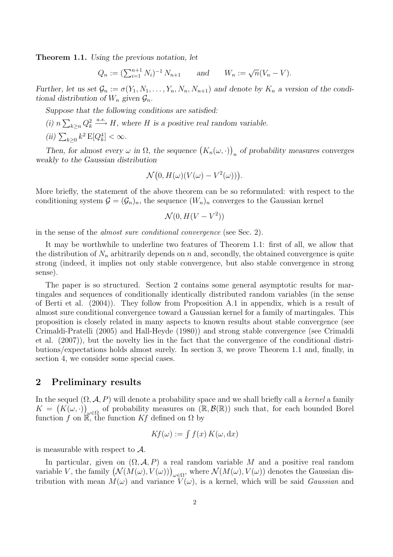Theorem 1.1. Using the previous notation, let

$$
Q_n := (\sum_{i=1}^{n+1} N_i)^{-1} N_{n+1}
$$
 and  $W_n := \sqrt{n}(V_n - V)$ .

Further, let us set  $\mathcal{G}_n := \sigma(Y_1, N_1, \ldots, Y_n, N_n, N_{n+1})$  and denote by  $K_n$  a version of the conditional distribution of  $W_n$  given  $\mathcal{G}_n$ .

Suppose that the following conditions are satisfied:

(i)  $n \sum_{k \geq n} Q_k^2 \xrightarrow{a.s.} H$ , where H is a positive real random variable.

(ii)  $\sum_{k\geq 0} k^2 \mathbf{E}[Q_k^4] < \infty$ .

Then, for almost every  $\omega$  in  $\Omega$ , the sequence  $(K_n(\omega, \cdot))$  $_{n}$  of probability measures converges weakly to the Gaussian distribution

$$
\mathcal{N}(0, H(\omega)(V(\omega) - V^2(\omega))).
$$

More briefly, the statement of the above theorem can be so reformulated: with respect to the conditioning system  $\mathcal{G} = (\mathcal{G}_n)_n$ , the sequence  $(W_n)_n$  converges to the Gaussian kernel

$$
\mathcal{N}(0, H(V - V^2))
$$

in the sense of the almost sure conditional convergence (see Sec. 2).

It may be worthwhile to underline two features of Theorem 1.1: first of all, we allow that the distribution of  $N_n$  arbitrarily depends on n and, secondly, the obtained convergence is quite strong (indeed, it implies not only stable convergence, but also stable convergence in strong sense).

The paper is so structured. Section 2 contains some general asymptotic results for martingales and sequences of conditionally identically distributed random variables (in the sense of Berti et al. (2004)). They follow from Proposition A.1 in appendix, which is a result of almost sure conditional convergence toward a Gaussian kernel for a family of martingales. This proposition is closely related in many aspects to known results about stable convergence (see Crimaldi-Pratelli (2005) and Hall-Heyde (1980)) and strong stable convergence (see Crimaldi et al. (2007)), but the novelty lies in the fact that the convergence of the conditional distributions/expectations holds almost surely. In section 3, we prove Theorem 1.1 and, finally, in section 4, we consider some special cases.

# 2 Preliminary results

In the sequel  $(\Omega, \mathcal{A}, P)$  will denote a probability space and we shall briefly call a kernel a family  $K = (K(\omega, \cdot))$  $\mu\in\Omega$  of probability measures on  $(\mathbb{R},\mathcal{B}(\mathbb{R}))$  such that, for each bounded Borel function f on  $\mathbb{R}$ , the function Kf defined on  $\Omega$  by

$$
Kf(\omega) := \int f(x) K(\omega, dx)
$$

is measurable with respect to A.

In particular, given on  $(\Omega, \mathcal{A}, P)$  a real random variable M and a positive real random variable V, the family  $(N(M(\omega), V(\omega)))_{\omega \in \Omega}$ , where  $N(M(\omega), V(\omega))$  denotes the Gaussian distribution with mean  $M(\omega)$  and variance  $V(\omega)$ , is a kernel, which will be said *Gaussian* and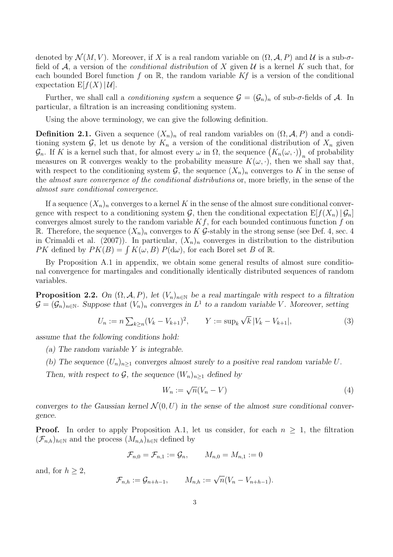denoted by  $\mathcal{N}(M, V)$ . Moreover, if X is a real random variable on  $(\Omega, \mathcal{A}, P)$  and U is a sub- $\sigma$ field of A, a version of the *conditional distribution* of X given  $\mathcal U$  is a kernel K such that, for each bounded Borel function f on  $\mathbb{R}$ , the random variable Kf is a version of the conditional expectation  $E[f(X)|\mathcal{U}]$ .

Further, we shall call a *conditioning system* a sequence  $\mathcal{G} = (\mathcal{G}_n)_n$  of sub- $\sigma$ -fields of A. In particular, a filtration is an increasing conditioning system.

Using the above terminology, we can give the following definition.

**Definition 2.1.** Given a sequence  $(X_n)_n$  of real random variables on  $(\Omega, \mathcal{A}, P)$  and a conditioning system G, let us denote by  $K_n$  a version of the conditional distribution of  $X_n$  given  $\mathcal{G}_n$ . If K is a kernel such that, for almost every  $\omega$  in  $\Omega$ , the sequence  $(K_n(\omega, \cdot))$  $\sum_{n=1}^{\infty}$  of probability measures on R converges weakly to the probability measure  $K(\omega, \cdot)$ , then we shall say that, with respect to the conditioning system  $\mathcal{G}$ , the sequence  $(X_n)_n$  converges to K in the sense of the almost sure convergence of the conditional distributions or, more briefly, in the sense of the almost sure conditional convergence.

If a sequence  $(X_n)_n$  converges to a kernel K in the sense of the almost sure conditional convergence with respect to a conditioning system  $\mathcal{G}$ , then the conditional expectation  $E[f(X_n)|\mathcal{G}_n]$ converges almost surely to the random variable  $Kf$ , for each bounded continuous function f on R. Therefore, the sequence  $(X_n)_n$  converges to K G-stably in the strong sense (see Def. 4, sec. 4 in Crimaldi et al. (2007)). In particular,  $(X_n)_n$  converges in distribution to the distribution PK defined by  $PK(B) = \int K(\omega, B) P(d\omega)$ , for each Borel set B of R.

By Proposition A.1 in appendix, we obtain some general results of almost sure conditional convergence for martingales and conditionally identically distributed sequences of random variables.

**Proposition 2.2.** On  $(\Omega, \mathcal{A}, P)$ , let  $(V_n)_{n \in \mathbb{N}}$  be a real martingale with respect to a filtration  $\mathcal{G} = (\mathcal{G}_n)_{n \in \mathbb{N}}$ . Suppose that  $(V_n)_n$  converges in  $L^1$  to a random variable V. Moreover, setting

$$
U_n := n \sum_{k \ge n} (V_k - V_{k+1})^2, \qquad Y := \sup_k \sqrt{k} |V_k - V_{k+1}|,\tag{3}
$$

assume that the following conditions hold:

- (a) The random variable Y is integrable.
- (b) The sequence  $(U_n)_{n>1}$  converges almost surely to a positive real random variable U.

Then, with respect to  $\mathcal{G}$ , the sequence  $(W_n)_{n\geq 1}$  defined by

$$
W_n := \sqrt{n}(V_n - V) \tag{4}
$$

converges to the Gaussian kernel  $\mathcal{N}(0, U)$  in the sense of the almost sure conditional convergence.

**Proof.** In order to apply Proposition A.1, let us consider, for each  $n \geq 1$ , the filtration  $(\mathcal{F}_{n,h})_{h\in\mathbb{N}}$  and the process  $(M_{n,h})_{h\in\mathbb{N}}$  defined by

$$
\mathcal{F}_{n,0} = \mathcal{F}_{n,1} := \mathcal{G}_n, \qquad M_{n,0} = M_{n,1} := 0
$$

and, for  $h \geq 2$ ,

$$
\mathcal{F}_{n,h} := \mathcal{G}_{n+h-1}, \qquad M_{n,h} := \sqrt{n}(V_n - V_{n+h-1}).
$$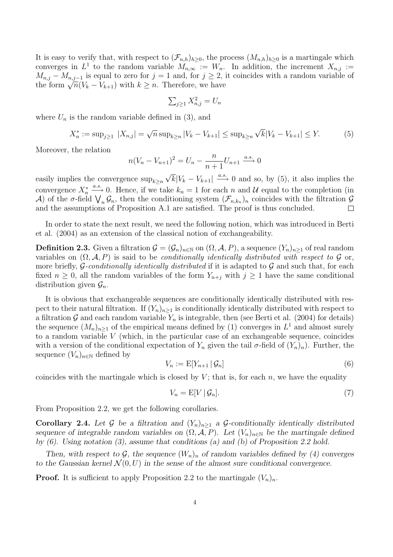It is easy to verify that, with respect to  $(\mathcal{F}_{n,h})_{h\geq 0}$ , the process  $(M_{n,h})_{h\geq 0}$  is a martingale which converges in  $L^1$  to the random variable  $M_{n,\infty} := W_n$ . In addition, the increment  $X_{n,j} :=$  $M_{n,j} - M_{n,j-1}$  is equal to zero for  $j = 1$  and, for  $j \geq 2$ , it coincides with a random variable of the form  $\sqrt{n}(V_k - V_{k+1})$  with  $k \geq n$ . Therefore, we have

$$
\sum_{j\geq 1} X_{n,j}^2 = U_n
$$

where  $U_n$  is the random variable defined in (3), and

$$
X_n^* := \sup_{j \ge 1} |X_{n,j}| = \sqrt{n} \sup_{k \ge n} |V_k - V_{k+1}| \le \sup_{k \ge n} \sqrt{k} |V_k - V_{k+1}| \le Y. \tag{5}
$$

Moreover, the relation

$$
n(V_n - V_{n+1})^2 = U_n - \frac{n}{n+1}U_{n+1} \xrightarrow{a.s.} 0
$$

easily implies the convergence  $\sup_{k\geq n} \sqrt{k}|V_k - V_{k+1}| \stackrel{a.s.}{\longrightarrow} 0$  and so, by (5), it also implies the convergence  $X_n^* \xrightarrow{a.s.} 0$ . Hence, if we take  $k_n = 1$  for each n and U equal to the completion (in A) of the  $\sigma$ -field  $\bigvee_n \mathcal{G}_n$ , then the conditioning system  $(\mathcal{F}_{n,k_n})_n$  coincides with the filtration  $\mathcal{G}$ and the assumptions of Proposition A.1 are satisfied. The proof is thus concluded.

In order to state the next result, we need the following notion, which was introduced in Berti et al. (2004) as an extension of the classical notion of exchangeability.

**Definition 2.3.** Given a filtration  $\mathcal{G} = (\mathcal{G}_n)_{n \in \mathbb{N}}$  on  $(\Omega, \mathcal{A}, P)$ , a sequence  $(Y_n)_{n \geq 1}$  of real random variables on  $(\Omega, \mathcal{A}, P)$  is said to be *conditionally identically distributed with respect to G* or, more briefly,  $\mathcal G$ -conditionally identically distributed if it is adapted to  $\mathcal G$  and such that, for each fixed  $n \geq 0$ , all the random variables of the form  $Y_{n+i}$  with  $j \geq 1$  have the same conditional distribution given  $\mathcal{G}_n$ .

It is obvious that exchangeable sequences are conditionally identically distributed with respect to their natural filtration. If  $(Y_n)_{n\geq 1}$  is conditionally identically distributed with respect to a filtration G and each random variable  $Y_n$  is integrable, then (see Berti et al. (2004) for details) the sequence  $(M_n)_{n\geq 1}$  of the empirical means defined by (1) converges in  $L^1$  and almost surely to a random variable V (which, in the particular case of an exchangeable sequence, coincides with a version of the conditional expectation of  $Y_n$  given the tail  $\sigma$ -field of  $(Y_n)_n$ ). Further, the sequence  $(V_n)_{n\in\mathbb{N}}$  defined by

$$
V_n := \mathbb{E}[Y_{n+1} | \mathcal{G}_n] \tag{6}
$$

coincides with the martingale which is closed by  $V$ ; that is, for each  $n$ , we have the equality

$$
V_n = \mathbb{E}[V \mid \mathcal{G}_n].\tag{7}
$$

From Proposition 2.2, we get the following corollaries.

Corollary 2.4. Let G be a filtration and  $(Y_n)_{n\geq 1}$  a G-conditionally identically distributed sequence of integrable random variables on  $(\Omega, \mathcal{A}, P)$ . Let  $(V_n)_{n \in \mathbb{N}}$  be the martingale defined by  $(6)$ . Using notation  $(3)$ , assume that conditions  $(a)$  and  $(b)$  of Proposition 2.2 hold.

Then, with respect to  $\mathcal{G}$ , the sequence  $(W_n)_n$  of random variables defined by (4) converges to the Gaussian kernel  $\mathcal{N}(0, U)$  in the sense of the almost sure conditional convergence.

**Proof.** It is sufficient to apply Proposition 2.2 to the martingale  $(V_n)_n$ .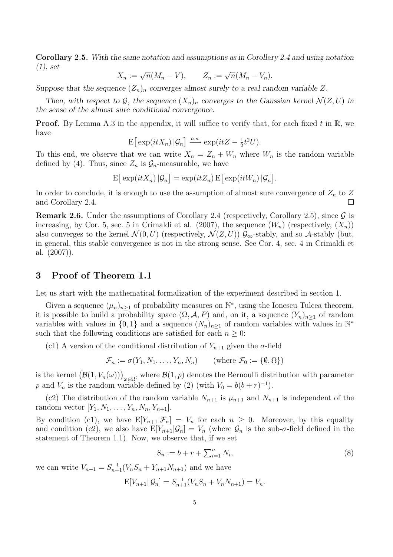Corollary 2.5. With the same notation and assumptions as in Corollary 2.4 and using notation  $(1), set$ 

$$
X_n := \sqrt{n}(M_n - V), \qquad Z_n := \sqrt{n}(M_n - V_n).
$$

Suppose that the sequence  $(Z_n)_n$  converges almost surely to a real random variable Z.

Then, with respect to G, the sequence  $(X_n)_n$  converges to the Gaussian kernel  $\mathcal{N}(Z, U)$  in the sense of the almost sure conditional convergence.

**Proof.** By Lemma A.3 in the appendix, it will suffice to verify that, for each fixed t in  $\mathbb{R}$ , we have

$$
\mathbb{E}\big[\exp(itX_n)\,|\mathcal{G}_n\big]\xrightarrow{a.s.}\exp(itZ-\tfrac{1}{2}t^2U).
$$

To this end, we observe that we can write  $X_n = Z_n + W_n$  where  $W_n$  is the random variable defined by (4). Thus, since  $Z_n$  is  $\mathcal{G}_n$ -measurable, we have

$$
\mathrm{E}\big[\exp(itX_n)\,|\mathcal{G}_n\big]=\exp(itZ_n)\,\mathrm{E}\big[\exp(itW_n)\,|\mathcal{G}_n\big].
$$

In order to conclude, it is enough to use the assumption of almost sure convergence of  $Z_n$  to Z and Corollary 2.4.

**Remark 2.6.** Under the assumptions of Corollary 2.4 (respectively, Corollary 2.5), since  $\mathcal{G}$  is increasing, by Cor. 5, sec. 5 in Crimaldi et al. (2007), the sequence  $(W_n)$  (respectively,  $(X_n)$ ) also converges to the kernel  $\mathcal{N}(0, U)$  (respectively,  $\mathcal{N}(Z, U)$ )  $\mathcal{G}_{\infty}$ -stably, and so A-stably (but, in general, this stable convergence is not in the strong sense. See Cor. 4, sec. 4 in Crimaldi et al. (2007)).

# 3 Proof of Theorem 1.1

Let us start with the mathematical formalization of the experiment described in section 1.

Given a sequence  $(\mu_n)_{n\geq 1}$  of probability measures on  $\mathbb{N}^*$ , using the Ionescu Tulcea theorem, it is possible to build a probability space  $(\Omega, \mathcal{A}, P)$  and, on it, a sequence  $(Y_n)_{n>1}$  of random variables with values in  $\{0,1\}$  and a sequence  $(N_n)_{n\geq 1}$  of random variables with values in N<sup>\*</sup> such that the following conditions are satisfied for each  $n \geq 0$ :

(c1) A version of the conditional distribution of  $Y_{n+1}$  given the  $\sigma$ -field

$$
\mathcal{F}_n := \sigma(Y_1, N_1, \dots, Y_n, N_n) \qquad \text{(where } \mathcal{F}_0 := \{ \emptyset, \Omega \} \text{)}
$$

is the kernel  $(\mathcal{B}(1, V_n(\omega)))_{\omega \in \Omega}$ , where  $\mathcal{B}(1, p)$  denotes the Bernoulli distribution with parameter p and  $V_n$  is the random variable defined by (2) (with  $V_0 = b(b+r)^{-1}$ ).

(c2) The distribution of the random variable  $N_{n+1}$  is  $\mu_{n+1}$  and  $N_{n+1}$  is independent of the random vector  $[Y_1, N_1, \ldots, Y_n, N_n, Y_{n+1}].$ 

By condition (c1), we have  $E[Y_{n+1}|\mathcal{F}_n] = V_n$  for each  $n \geq 0$ . Moreover, by this equality and condition (c2), we also have  $E[Y_{n+1}|\mathcal{G}_n] = V_n$  (where  $\mathcal{G}_n$  is the sub- $\sigma$ -field defined in the statement of Theorem 1.1). Now, we observe that, if we set

$$
S_n := b + r + \sum_{i=1}^n N_i,
$$
\n(8)

we can write  $V_{n+1} = S_{n+1}^{-1}(V_n S_n + Y_{n+1} N_{n+1})$  and we have

$$
E[V_{n+1} | \mathcal{G}_n] = S_{n+1}^{-1} (V_n S_n + V_n N_{n+1}) = V_n.
$$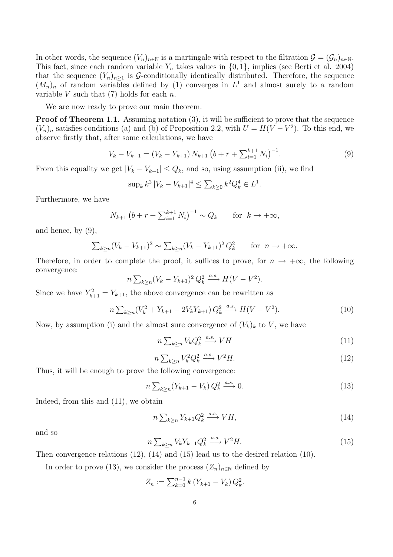In other words, the sequence  $(V_n)_{n\in\mathbb{N}}$  is a martingale with respect to the filtration  $\mathcal{G} = (\mathcal{G}_n)_{n\in\mathbb{N}}$ . This fact, since each random variable  $Y_n$  takes values in  $\{0, 1\}$ , implies (see Berti et al. 2004) that the sequence  $(Y_n)_{n\geq 1}$  is G-conditionally identically distributed. Therefore, the sequence  $(M_n)_n$  of random variables defined by (1) converges in  $L^1$  and almost surely to a random variable V such that  $(7)$  holds for each n.

We are now ready to prove our main theorem.

Proof of Theorem 1.1. Assuming notation (3), it will be sufficient to prove that the sequence  $(V_n)_n$  satisfies conditions (a) and (b) of Proposition 2.2, with  $U = H(V - V^2)$ . To this end, we observe firstly that, after some calculations, we have

$$
V_k - V_{k+1} = (V_k - Y_{k+1}) N_{k+1} (b+r+\sum_{i=1}^{k+1} N_i)^{-1}.
$$
 (9)

From this equality we get  $|V_k - V_{k+1}| \leq Q_k$ , and so, using assumption (ii), we find

$$
\sup_k k^2 |V_k - V_{k+1}|^4 \le \sum_{k \ge 0} k^2 Q_k^4 \in L^1.
$$

Furthermore, we have

$$
N_{k+1} (b + r + \sum_{i=1}^{k+1} N_i)^{-1} \sim Q_k
$$
 for  $k \to +\infty$ ,

and hence, by (9),

$$
\sum_{k\geq n}(V_k - V_{k+1})^2 \sim \sum_{k\geq n}(V_k - Y_{k+1})^2 Q_k^2
$$
 for  $n \to +\infty$ .

Therefore, in order to complete the proof, it suffices to prove, for  $n \to +\infty$ , the following convergence:

$$
n\sum_{k\geq n}(V_k-Y_{k+1})^2 Q_k^2 \xrightarrow{a.s.} H(V-V^2).
$$

Since we have  $Y_{k+1}^2 = Y_{k+1}$ , the above convergence can be rewritten as

$$
n\sum_{k\geq n}(V_k^2 + Y_{k+1} - 2V_kY_{k+1})Q_k^2 \xrightarrow{a.s.} H(V - V^2). \tag{10}
$$

Now, by assumption (i) and the almost sure convergence of  $(V_k)_k$  to V, we have

$$
n\sum_{k\geq n} V_k Q_k^2 \xrightarrow{a.s.} VH \tag{11}
$$

$$
n\sum_{k\geq n} V_k^2 Q_k^2 \xrightarrow{a.s.} V^2 H. \tag{12}
$$

Thus, it will be enough to prove the following convergence:

$$
n\sum_{k\geq n}(Y_{k+1}-V_k)\,Q_k^2\xrightarrow{a.s.}0.\tag{13}
$$

Indeed, from this and (11), we obtain

$$
n\sum_{k\geq n} Y_{k+1} Q_k^2 \xrightarrow{a.s.} VH,
$$
\n(14)

and so

$$
n\sum_{k\geq n} V_k Y_{k+1} Q_k^2 \xrightarrow{a.s.} V^2 H. \tag{15}
$$

Then convergence relations (12), (14) and (15) lead us to the desired relation (10).

In order to prove (13), we consider the process  $(Z_n)_{n\in\mathbb{N}}$  defined by

$$
Z_n := \sum_{k=0}^{n-1} k (Y_{k+1} - V_k) Q_k^2.
$$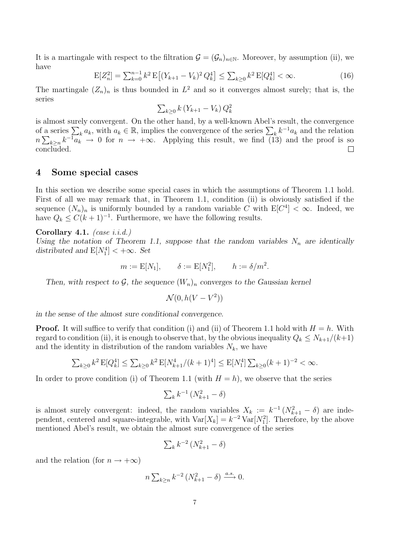It is a martingale with respect to the filtration  $\mathcal{G} = (\mathcal{G}_n)_{n \in \mathbb{N}}$ . Moreover, by assumption (ii), we have

$$
E[Z_n^2] = \sum_{k=0}^{n-1} k^2 E\left[ (Y_{k+1} - V_k)^2 Q_k^4 \right] \le \sum_{k \ge 0} k^2 E[Q_k^4] < \infty. \tag{16}
$$

The martingale  $(Z_n)_n$  is thus bounded in  $L^2$  and so it converges almost surely; that is, the series

$$
\sum_{k\geq 0} k\left(Y_{k+1} - V_k\right) Q_k^2
$$

is almost surely convergent. On the other hand, by a well-known Abel's result, the convergence of a series  $\sum_{k} a_k$ , with  $a_k \in \mathbb{R}$ , implies the convergence of the series  $\sum_{k} k^{-1} a_k$  and the relation  $n\sum_{k\geq n} k^{-1} a_k^k \to 0$  for  $n \to +\infty$ . Applying this result, we find (13) and the proof is so concluded.

#### 4 Some special cases

In this section we describe some special cases in which the assumptions of Theorem 1.1 hold. First of all we may remark that, in Theorem 1.1, condition (ii) is obviously satisfied if the sequence  $(N_n)_n$  is uniformly bounded by a random variable C with  $E[C^4] < \infty$ . Indeed, we have  $Q_k \leq C(k+1)^{-1}$ . Furthermore, we have the following results.

Corollary 4.1.  $(case\ i.i.d.)$ 

Using the notation of Theorem 1.1, suppose that the random variables  $N_n$  are identically distributed and  $E[N_1^4] < +\infty$ . Set

$$
m := E[N_1], \quad \delta := E[N_1^2], \quad h := \delta/m^2.
$$

Then, with respect to G, the sequence  $(W_n)_n$  converges to the Gaussian kernel

 $\mathcal{N}(0, h(V - V^2))$ 

in the sense of the almost sure conditional convergence.

**Proof.** It will suffice to verify that condition (i) and (ii) of Theorem 1.1 hold with  $H = h$ . With regard to condition (ii), it is enough to observe that, by the obvious inequality  $Q_k \leq N_{k+1}/(k+1)$ and the identity in distribution of the random variables  $N_k$ , we have

$$
\sum_{k\geq 0} k^2 \, \mathbf{E}[Q_k^4] \leq \sum_{k\geq 0} k^2 \, \mathbf{E}[N_{k+1}^4/(k+1)^4] \leq \mathbf{E}[N_1^4] \sum_{k\geq 0} (k+1)^{-2} < \infty.
$$

In order to prove condition (i) of Theorem 1.1 (with  $H = h$ ), we observe that the series

$$
\sum_{k} k^{-1} \left( N_{k+1}^2 - \delta \right)
$$

is almost surely convergent: indeed, the random variables  $X_k := k^{-1}(N_{k+1}^2 - \delta)$  are independent, centered and square-integrable, with  $Var[X_k] = k^{-2}Var[N_1^2]$ . Therefore, by the above mentioned Abel's result, we obtain the almost sure convergence of the series

$$
\sum_{k} k^{-2} \left( N_{k+1}^2 - \delta \right)
$$

and the relation (for  $n \to +\infty$ )

$$
n\sum_{k\geq n}k^{-2}\left(N_{k+1}^2-\delta\right)\xrightarrow{a.s.}0.
$$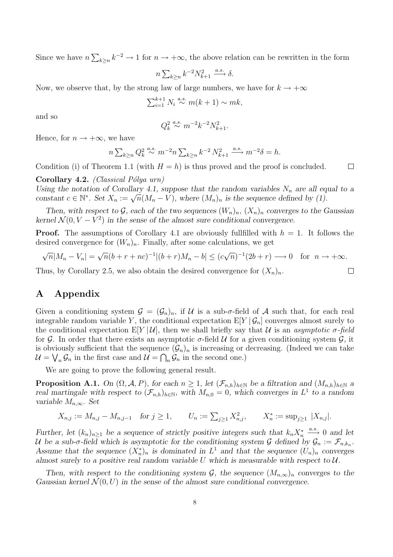Since we have  $n \sum_{k \geq n} k^{-2} \to 1$  for  $n \to +\infty$ , the above relation can be rewritten in the form

$$
n\sum_{k\geq n}k^{-2}N_{k+1}^2\stackrel{a.s.}{\longrightarrow}\delta.
$$

Now, we observe that, by the strong law of large numbers, we have for  $k \to +\infty$ 

$$
\sum_{i=1}^{k+1} N_i \stackrel{a.s.}{\sim} m(k+1) \sim mk,
$$

and so

$$
Q_k^2 \stackrel{a.s.}{\sim} m^{-2}k^{-2}N_{k+1}^2.
$$

Hence, for  $n \to +\infty$ , we have

$$
n \sum_{k \ge n} Q_k^2 \stackrel{a.s.}{\sim} m^{-2} n \sum_{k \ge n} k^{-2} N_{k+1}^2 \stackrel{a.s.}{\longrightarrow} m^{-2} \delta = h.
$$

Condition (i) of Theorem 1.1 (with  $H = h$ ) is thus proved and the proof is concluded.  $\Box$ 

Corollary 4.2. (Classical Pólya urn)

Using the notation of Corollary 4.1, suppose that the random variables  $N_n$  are all equal to a constant  $c \in \mathbb{N}^*$ . Set  $X_n := \sqrt{n}(M_n - V)$ , where  $(M_n)_n$  is the sequence defined by (1).

Then, with respect to G, each of the two sequences  $(W_n)_n$ ,  $(X_n)_n$  converges to the Gaussian kernel  $\mathcal{N}(0, V - V^2)$  in the sense of the almost sure conditional convergence.

**Proof.** The assumptions of Corollary 4.1 are obviously fullfilled with  $h = 1$ . It follows the desired convergence for  $(W_n)_n$ . Finally, after some calculations, we get

$$
\sqrt{n}|M_n - V_n| = \sqrt{n}(b+r+nc)^{-1}|(b+r)M_n - b| \le (c\sqrt{n})^{-1}(2b+r) \longrightarrow 0 \quad \text{for} \quad n \to +\infty.
$$

Thus, by Corollary 2.5, we also obtain the desired convergence for  $(X_n)_n$ .

# A Appendix

Given a conditioning system  $\mathcal{G} = (\mathcal{G}_n)_n$ , if U is a sub- $\sigma$ -field of A such that, for each real integrable random variable Y, the conditional expectation  $E[Y|\mathcal{G}_n]$  converges almost surely to the conditional expectation  $E[Y|\mathcal{U}]$ , then we shall briefly say that U is an asymptotic  $\sigma$ -field for  $G$ . In order that there exists an asymptotic  $\sigma$ -field  $U$  for a given conditioning system  $G$ , it is obviously sufficient that the sequence  $(\mathcal{G}_n)_n$  is increasing or decreasing. (Indeed we can take  $\mathcal{U} = \bigvee_n \mathcal{G}_n$  in the first case and  $\mathcal{U} = \bigcap_n \mathcal{G}_n$  in the second one.)

We are going to prove the following general result.

**Proposition A.1.** On  $(\Omega, \mathcal{A}, P)$ , for each  $n \geq 1$ , let  $(\mathcal{F}_{n,h})_{h \in \mathbb{N}}$  be a filtration and  $(M_{n,h})_{h \in \mathbb{N}}$  a real martingale with respect to  $(\mathcal{F}_{n,h})_{h\in\mathbb{N}}$ , with  $M_{n,0}=0$ , which converges in  $L^1$  to a random variable  $M_{n,\infty}$ . Set

$$
X_{n,j} := M_{n,j} - M_{n,j-1} \quad \text{for } j \ge 1, \qquad U_n := \sum_{j \ge 1} X_{n,j}^2, \qquad X_n^* := \sup_{j \ge 1} |X_{n,j}|.
$$

Further, let  $(k_n)_{n\geq 1}$  be a sequence of strictly positive integers such that  $k_nX_n^* \stackrel{a.s.}{\longrightarrow} 0$  and let U be a sub- $\sigma$ -field which is asymptotic for the conditioning system G defined by  $\mathcal{G}_n := \mathcal{F}_{n,k_n}$ . Assume that the sequence  $(X_n^*)_n$  is dominated in  $L^1$  and that the sequence  $(U_n)_n$  converges almost surely to a positive real random variable U which is measurable with respect to  $\mathcal{U}$ .

Then, with respect to the conditioning system  $\mathcal{G}$ , the sequence  $(M_{n,\infty})_n$  converges to the Gaussian kernel  $\mathcal{N}(0, U)$  in the sense of the almost sure conditional convergence.

 $\Box$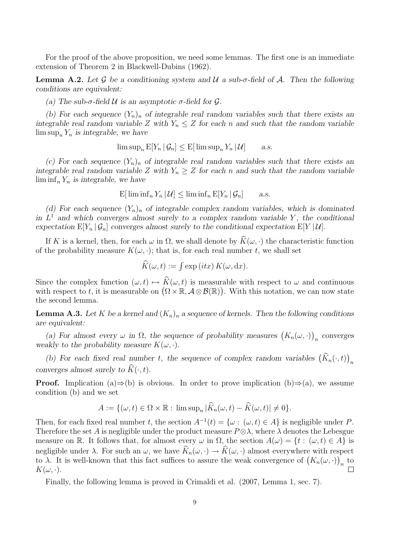For the proof of the above proposition, we need some lemmas. The first one is an immediate extension of Theorem 2 in Blackwell-Dubins (1962).

**Lemma A.2.** Let G be a conditioning system and U a sub-σ-field of A. Then the following conditions are equivalent:

(a) The sub- $\sigma$ -field U is an asymptotic  $\sigma$ -field for  $\mathcal{G}$ .

(b) For each sequence  $(Y_n)_n$  of integrable real random variables such that there exists an integrable real random variable Z with  $Y_n \leq Z$  for each n and such that the random variable  $\limsup_n Y_n$  is integrable, we have

 $\limsup_{n} E[Y_n | \mathcal{G}_n] \leq E[\limsup_{n} Y_n | \mathcal{U}]$  a.s.

(c) For each sequence  $(Y_n)_n$  of integrable real random variables such that there exists an integrable real random variable Z with  $Y_n \geq Z$  for each n and such that the random variable  $\liminf_n Y_n$  is integrable, we have

 $\mathbb{E}[\liminf_{n} Y_n | \mathcal{U}] \leq \liminf_{n} \mathbb{E}[Y_n | \mathcal{G}_n]$  a.s.

(d) For each sequence  $(Y_n)_n$  of integrable complex random variables, which is dominated in  $L^1$  and which converges almost surely to a complex random variable Y, the conditional expectation  $E[Y_n | \mathcal{G}_n]$  converges almost surely to the conditional expectation  $E[Y | \mathcal{U}]$ .

If K is a kernel, then, for each  $\omega$  in  $\Omega$ , we shall denote by  $\widetilde{K}(\omega, \cdot)$  the characteristic function of the probability measure  $K(\omega, \cdot)$ ; that is, for each real number t, we shall set

$$
\widehat{K}(\omega, t) := \int \exp\left(itx\right) K(\omega, dx).
$$

Since the complex function  $(\omega, t) \mapsto \widehat{K}(\omega, t)$  is measurable with respect to  $\omega$  and continuous with respect to t, it is measurable on  $(\Omega \times \mathbb{R}, \mathcal{A} \otimes \mathcal{B}(\mathbb{R}))$ . With this notation, we can now state the second lemma.

**Lemma A.3.** Let K be a kernel and  $(K_n)_n$  a sequence of kernels. Then the following conditions are equivalent:

(a) For almost every  $\omega$  in  $\Omega$ , the sequence of probability measures  $(K_n(\omega, \cdot))$ n converges weakly to the probability measure  $K(\omega, \cdot)$ .

(b) For each fixed real number t, the sequence of complex random variables  $(\widehat{K}_n(\cdot,t))$ n converges almost surely to  $\widehat{K}(\cdot, t)$ .

**Proof.** Implication (a)⇒(b) is obvious. In order to prove implication (b)⇒(a), we assume condition (b) and we set

$$
A := \{(\omega, t) \in \Omega \times \mathbb{R} : \limsup_n |\widehat{K}_n(\omega, t) - \widehat{K}(\omega, t)| \neq 0\}.
$$

Then, for each fixed real number t, the section  $A^{-1}(t) = \{\omega : (\omega, t) \in A\}$  is negligible under P. Therefore the set A is negligible under the product measure  $P \otimes \lambda$ , where  $\lambda$  denotes the Lebesgue measure on R. It follows that, for almost every  $\omega$  in  $\Omega$ , the section  $A(\omega) = \{t : (\omega, t) \in A\}$  is negligible under  $\lambda$ . For such an  $\omega$ , we have  $\widehat{K}_n(\omega, \cdot) \to \widehat{K}(\omega, \cdot)$  almost everywhere with respect to λ. It is well-known that this fact suffices to assure the weak convergence of  $(K_n(\omega, \cdot))$  $\frac{1}{n}$  $K(\omega, \cdot).$ 

Finally, the following lemma is proved in Crimaldi et al. (2007, Lemma 1, sec. 7).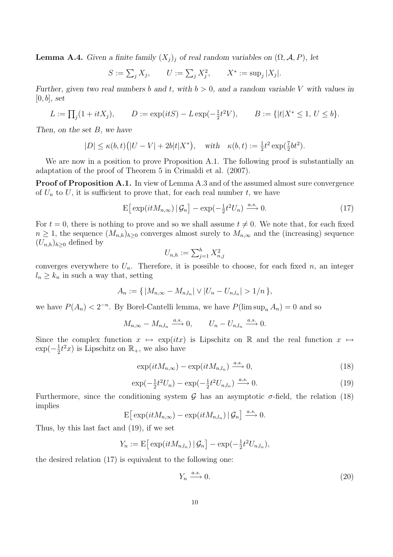**Lemma A.4.** Given a finite family  $(X_j)_j$  of real random variables on  $(\Omega, \mathcal{A}, P)$ , let

$$
S := \sum_j X_j
$$
,  $U := \sum_j X_j^2$ ,  $X^* := \sup_j |X_j|$ .

Further, given two real numbers b and t, with  $b > 0$ , and a random variable V with values in  $[0, b]$ , set

$$
L:=\textstyle \prod_j (1+itX_j), \qquad D:=\exp(itS)-L\exp(-\tfrac{1}{2}t^2V), \qquad B:=\{|t|X^*\le 1,\, U\le b\}.
$$

Then, on the set B, we have

$$
|D| \leq \kappa(b,t)\big(|U-V|+2b|t|X^*\big), \quad \text{with} \quad \kappa(b,t):=\tfrac{1}{2}t^2\exp(\tfrac{7}{2}bt^2).
$$

We are now in a position to prove Proposition A.1. The following proof is substantially an adaptation of the proof of Theorem 5 in Crimaldi et al. (2007).

Proof of Proposition A.1. In view of Lemma A.3 and of the assumed almost sure convergence of  $U_n$  to U, it is sufficient to prove that, for each real number t, we have

$$
\mathbf{E}\left[\left(\exp(itM_{n,\infty})\right|\mathcal{G}_n\right] - \exp(-\frac{1}{2}t^2U_n) \xrightarrow{a.s.} 0. \tag{17}
$$

For  $t = 0$ , there is nothing to prove and so we shall assume  $t \neq 0$ . We note that, for each fixed  $n \geq 1$ , the sequence  $(M_{n,h})_{h\geq 0}$  converges almost surely to  $M_{n,\infty}$  and the (increasing) sequence  $(U_{n,h})_{h\geq 0}$  defined by

$$
U_{n,h} := \sum_{j=1}^h X_{n,j}^2
$$

converges everywhere to  $U_n$ . Therefore, it is possible to choose, for each fixed n, an integer  $l_n \geq k_n$  in such a way that, setting

$$
A_n := \{ |M_{n,\infty} - M_{n,l_n}| \vee |U_n - U_{n,l_n}| > 1/n \},\
$$

we have  $P(A_n) < 2^{-n}$ . By Borel-Cantelli lemma, we have  $P(\limsup_n A_n) = 0$  and so

$$
M_{n,\infty} - M_{n,l_n} \xrightarrow{a.s.} 0, \qquad U_n - U_{n,l_n} \xrightarrow{a.s.} 0.
$$

Since the complex function  $x \mapsto \exp(itx)$  is Lipschitz on R and the real function  $x \mapsto$  $\exp(-\frac{1}{2})$  $\frac{1}{2}t^2x$ ) is Lipschitz on  $\mathbb{R}_+$ , we also have

$$
\exp(itM_{n,\infty}) - \exp(itM_{n,l_n}) \xrightarrow{a.s.} 0,
$$
\n(18)

$$
\exp\left(-\frac{1}{2}t^2U_n\right) - \exp\left(-\frac{1}{2}t^2U_{n,l_n}\right) \xrightarrow{a.s.} 0. \tag{19}
$$

Furthermore, since the conditioning system G has an asymptotic  $\sigma$ -field, the relation (18) implies

$$
\mathbf{E}\big[\exp(itM_{n,\infty})-\exp(itM_{n,l_n})\,|\,\mathcal{G}_n\big]\xrightarrow{a.s.}0.
$$

Thus, by this last fact and (19), if we set

$$
Y_n := \mathbb{E}\big[\exp(itM_{n,l_n})\,|\,\mathcal{G}_n\big] - \exp(-\tfrac{1}{2}t^2U_{n,l_n}),
$$

the desired relation (17) is equivalent to the following one:

$$
Y_n \xrightarrow{a.s.} 0. \tag{20}
$$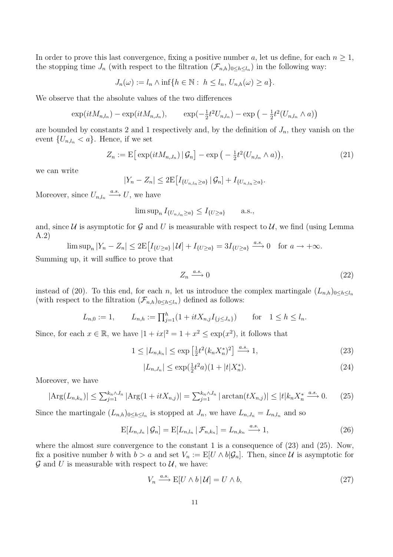In order to prove this last convergence, fixing a positive number a, let us define, for each  $n \geq 1$ , the stopping time  $J_n$  (with respect to the filtration  $(\mathcal{F}_{n,h})_{0\leq h\leq l_n}$ ) in the following way:

$$
J_n(\omega) := l_n \wedge \inf\{h \in \mathbb{N} : h \le l_n, U_{n,h}(\omega) \ge a\}.
$$

We observe that the absolute values of the two differences

$$
\exp(itM_{n,l_n}) - \exp(itM_{n,J_n}), \qquad \exp(-\frac{1}{2}t^2U_{n,l_n}) - \exp(-\frac{1}{2}t^2(U_{n,l_n} \wedge a))
$$

are bounded by constants 2 and 1 respectively and, by the definition of  $J_n$ , they vanish on the event  $\{U_{n,l_n} < a\}$ . Hence, if we set

$$
Z_n := \mathbb{E}\big[\exp(itM_{n,J_n})\,|\,\mathcal{G}_n\big] - \exp\big(-\tfrac{1}{2}t^2(U_{n,J_n}\wedge a)\big),\tag{21}
$$

we can write

$$
|Y_n - Z_n| \leq 2 \mathbb{E} \big[ I_{\{U_{n,l_n} \geq a\}} | \mathcal{G}_n] + I_{\{U_{n,l_n} \geq a\}}.
$$

Moreover, since  $U_{n,l_n} \xrightarrow{a.s.} U$ , we have

$$
\limsup_{n} I_{\{U_{n,l_n} \ge a\}} \le I_{\{U \ge a\}} \quad \text{a.s.},
$$

and, since U is asymptotic for G and U is measurable with respect to U, we find (using Lemma A.2)

$$
\limsup_{n} |Y_n - Z_n| \le 2\mathbb{E}\left[I_{\{U \ge a\}} | \mathcal{U}| + I_{\{U \ge a\}} = 3I_{\{U \ge a\}} \xrightarrow{a.s.} 0 \quad \text{for } a \to +\infty.
$$

Summing up, it will suffice to prove that

$$
Z_n \xrightarrow{a.s.} 0 \tag{22}
$$

instead of (20). To this end, for each n, let us introduce the complex martingale  $(L_{n,h})_{0\leq h\leq l_n}$ (with respect to the filtration  $(\mathcal{F}_{n,h})_{0\leq h\leq l_n}$ ) defined as follows:

$$
L_{n,0} := 1, \qquad L_{n,h} := \prod_{j=1}^h (1 + itX_{n,j}I_{\{j \le J_n\}}) \qquad \text{for} \quad 1 \le h \le l_n.
$$

Since, for each  $x \in \mathbb{R}$ , we have  $|1 + ix|^2 = 1 + x^2 \le \exp(x^2)$ , it follows that

$$
1 \le |L_{n,k_n}| \le \exp\left[\frac{1}{2}t^2(k_n X_n^*)^2\right] \xrightarrow{a.s.} 1,\tag{23}
$$

$$
|L_{n,J_n}| \le \exp(\frac{1}{2}t^2a)(1+|t|X_n^*). \tag{24}
$$

Moreover, we have

$$
|\text{Arg}(L_{n,k_n})| \le \sum_{j=1}^{k_n \wedge J_n} |\text{Arg}(1 + itX_{n,j})| = \sum_{j=1}^{k_n \wedge J_n} |\arctan(tX_{n,j})| \le |t| k_n X_n^* \xrightarrow{a.s.} 0. \tag{25}
$$

Since the martingale  $(L_{n,h})_{0 \leq h \leq l_n}$  is stopped at  $J_n$ , we have  $L_{n,J_n} = L_{n,l_n}$  and so

$$
E[L_{n,J_n} | \mathcal{G}_n] = E[L_{n,l_n} | \mathcal{F}_{n,k_n}] = L_{n,k_n} \xrightarrow{a.s.} 1,
$$
\n(26)

where the almost sure convergence to the constant 1 is a consequence of (23) and (25). Now, fix a positive number b with  $b > a$  and set  $V_n := E[U \wedge b | \mathcal{G}_n]$ . Then, since U is asymptotic for  $\mathcal G$  and U is measurable with respect to  $\mathcal U$ , we have:

$$
V_n \xrightarrow{a.s.} E[U \wedge b | \mathcal{U}] = U \wedge b,\tag{27}
$$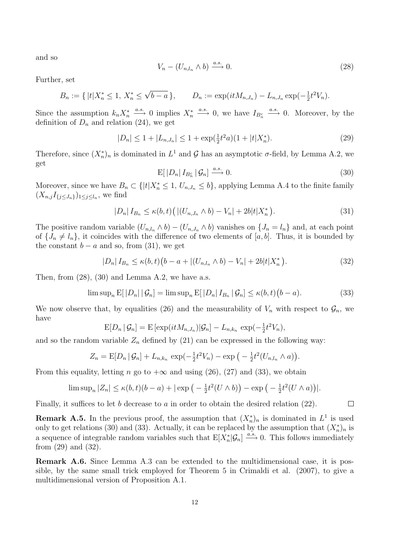and so

$$
V_n - (U_{n,l_n} \wedge b) \xrightarrow{a.s.} 0. \tag{28}
$$

Further, set

 $B_n := \{ |t|X_n^* \leq 1, X_n^* \leq$  $\sqrt{b-a}$ },  $D_n := \exp(itM_{n,J_n}) - L_{n,J_n} \exp(-\frac{1}{2})$  $\frac{1}{2}t^2V_n$ .

Since the assumption  $k_n X_n^* \xrightarrow{a.s.} 0$  implies  $X_n^* \xrightarrow{a.s.} 0$ , we have  $I_{B_n^c} \xrightarrow{a.s.} 0$ . Moreover, by the definition of  $D_n$  and relation (24), we get

$$
|D_n| \le 1 + |L_{n,J_n}| \le 1 + \exp(\frac{1}{2}t^2 a)(1 + |t|X_n^*).
$$
 (29)

Therefore, since  $(X_n^*)_n$  is dominated in  $L^1$  and  $\mathcal G$  has an asymptotic  $\sigma$ -field, by Lemma A.2, we get

$$
E[|D_n| I_{B_n^c} | \mathcal{G}_n] \xrightarrow{a.s.} 0. \tag{30}
$$

 $\Box$ 

Moreover, since we have  $B_n \subset \{|t|X_n^* \leq 1, U_{n,J_n} \leq b\}$ , applying Lemma A.4 to the finite family  $(X_{n,j}I_{\{j\leq J_n\}})_{1\leq j\leq l_n}$ , we find

$$
|D_n| I_{B_n} \le \kappa(b, t) \left( |(U_{n,J_n} \wedge b) - V_n| + 2b|t|X_n^* \right). \tag{31}
$$

The positive random variable  $(U_{n,l_n} \wedge b) - (U_{n,J_n} \wedge b)$  vanishes on  $\{J_n = l_n\}$  and, at each point of  $\{J_n \neq l_n\}$ , it coincides with the difference of two elements of [a, b]. Thus, it is bounded by the constant  $b - a$  and so, from (31), we get

$$
|D_n| I_{B_n} \le \kappa(b, t) \big( b - a + |(U_{n, l_n} \wedge b) - V_n| + 2b|t|X_n^* \big). \tag{32}
$$

Then, from  $(28)$ ,  $(30)$  and Lemma A.2, we have a.s.

$$
\limsup_{n} \mathbb{E}[|D_n| | \mathcal{G}_n] = \limsup_{n} \mathbb{E}[|D_n| I_{B_n} | \mathcal{G}_n] \le \kappa(b, t)(b - a). \tag{33}
$$

We now observe that, by equalities (26) and the measurability of  $V_n$  with respect to  $\mathcal{G}_n$ , we have

$$
E[D_n | \mathcal{G}_n] = E[\exp(itM_{n,J_n}) | \mathcal{G}_n] - L_{n,k_n} \exp(-\frac{1}{2}t^2 V_n),
$$

and so the random variable  $Z_n$  defined by (21) can be expressed in the following way:

$$
Z_n = \mathbb{E}[D_n | \mathcal{G}_n] + L_{n,k_n} \exp(-\tfrac{1}{2}t^2 V_n) - \exp(-\tfrac{1}{2}t^2 (U_{n,l_n} \wedge a)).
$$

From this equality, letting n go to  $+\infty$  and using (26), (27) and (33), we obtain

$$
\limsup_{n} |Z_n| \le \kappa(b,t)(b-a) + |\exp\left(-\frac{1}{2}t^2(U \wedge b)\right) - \exp\left(-\frac{1}{2}t^2(U \wedge a)\right)|.
$$

Finally, it suffices to let b decrease to a in order to obtain the desired relation  $(22)$ .

**Remark A.5.** In the previous proof, the assumption that  $(X_n^*)_n$  is dominated in  $L^1$  is used only to get relations (30) and (33). Actually, it can be replaced by the assumption that  $(X_n^*)_n$  is a sequence of integrable random variables such that  $E[X_n^*|\mathcal{G}_n] \xrightarrow{a.s.} 0$ . This follows immediately from (29) and (32).

Remark A.6. Since Lemma A.3 can be extended to the multidimensional case, it is possible, by the same small trick employed for Theorem 5 in Crimaldi et al. (2007), to give a multidimensional version of Proposition A.1.